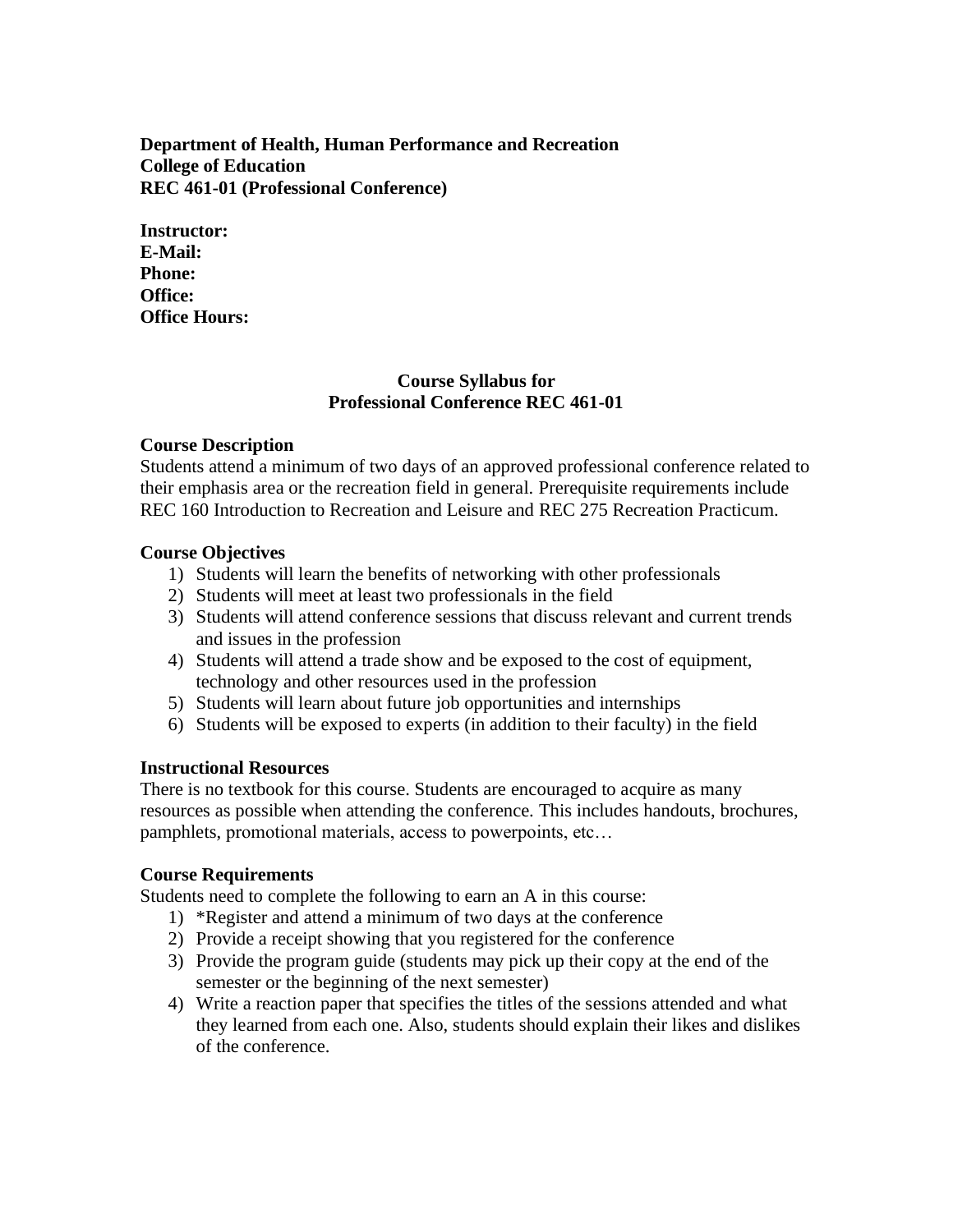**Department of Health, Human Performance and Recreation College of Education REC 461-01 (Professional Conference)**

**Instructor: E-Mail: Phone: Office: Office Hours:**

# **Course Syllabus for Professional Conference REC 461-01**

# **Course Description**

Students attend a minimum of two days of an approved professional conference related to their emphasis area or the recreation field in general. Prerequisite requirements include REC 160 Introduction to Recreation and Leisure and REC 275 Recreation Practicum.

# **Course Objectives**

- 1) Students will learn the benefits of networking with other professionals
- 2) Students will meet at least two professionals in the field
- 3) Students will attend conference sessions that discuss relevant and current trends and issues in the profession
- 4) Students will attend a trade show and be exposed to the cost of equipment, technology and other resources used in the profession
- 5) Students will learn about future job opportunities and internships
- 6) Students will be exposed to experts (in addition to their faculty) in the field

# **Instructional Resources**

There is no textbook for this course. Students are encouraged to acquire as many resources as possible when attending the conference. This includes handouts, brochures, pamphlets, promotional materials, access to powerpoints, etc…

# **Course Requirements**

Students need to complete the following to earn an A in this course:

- 1) \*Register and attend a minimum of two days at the conference
- 2) Provide a receipt showing that you registered for the conference
- 3) Provide the program guide (students may pick up their copy at the end of the semester or the beginning of the next semester)
- 4) Write a reaction paper that specifies the titles of the sessions attended and what they learned from each one. Also, students should explain their likes and dislikes of the conference.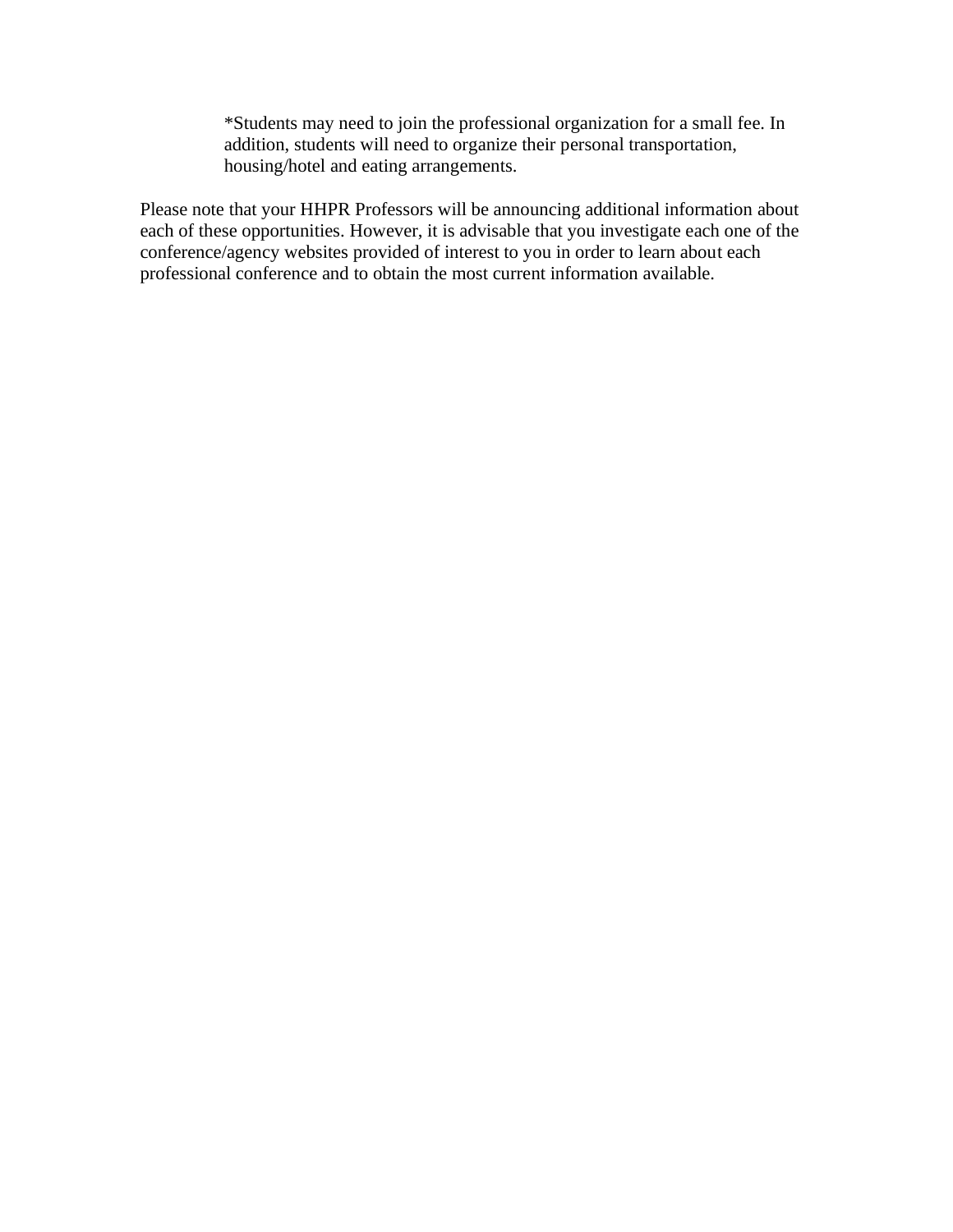\*Students may need to join the professional organization for a small fee. In addition, students will need to organize their personal transportation, housing/hotel and eating arrangements.

Please note that your HHPR Professors will be announcing additional information about each of these opportunities. However, it is advisable that you investigate each one of the conference/agency websites provided of interest to you in order to learn about each professional conference and to obtain the most current information available.